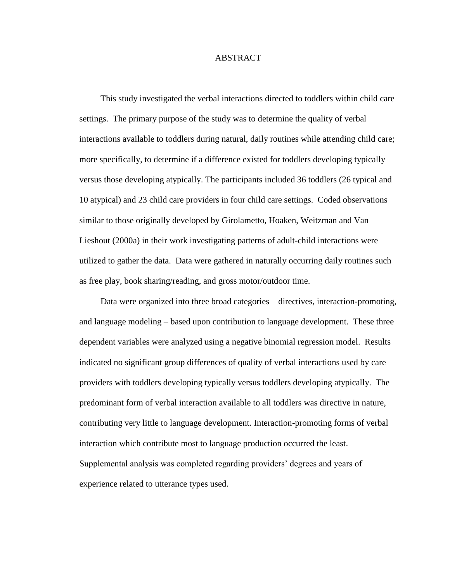## ABSTRACT

This study investigated the verbal interactions directed to toddlers within child care settings. The primary purpose of the study was to determine the quality of verbal interactions available to toddlers during natural, daily routines while attending child care; more specifically, to determine if a difference existed for toddlers developing typically versus those developing atypically. The participants included 36 toddlers (26 typical and 10 atypical) and 23 child care providers in four child care settings. Coded observations similar to those originally developed by Girolametto, Hoaken, Weitzman and Van Lieshout (2000a) in their work investigating patterns of adult-child interactions were utilized to gather the data. Data were gathered in naturally occurring daily routines such as free play, book sharing/reading, and gross motor/outdoor time.

Data were organized into three broad categories – directives, interaction-promoting, and language modeling – based upon contribution to language development. These three dependent variables were analyzed using a negative binomial regression model. Results indicated no significant group differences of quality of verbal interactions used by care providers with toddlers developing typically versus toddlers developing atypically. The predominant form of verbal interaction available to all toddlers was directive in nature, contributing very little to language development. Interaction-promoting forms of verbal interaction which contribute most to language production occurred the least. Supplemental analysis was completed regarding providers' degrees and years of experience related to utterance types used.